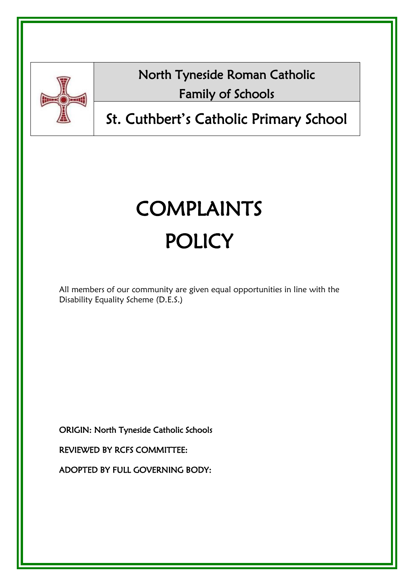

North Tyneside Roman Catholic Family of Schools

# St. Cuthbert's Catholic Primary School

# COMPLAINTS **POLICY**

All members of our community are given equal opportunities in line with the Disability Equality Scheme (D.E.S.)

ORIGIN: North Tyneside Catholic Schools

REVIEWED BY RCFS COMMITTEE:

ADOPTED BY FULL GOVERNING BODY: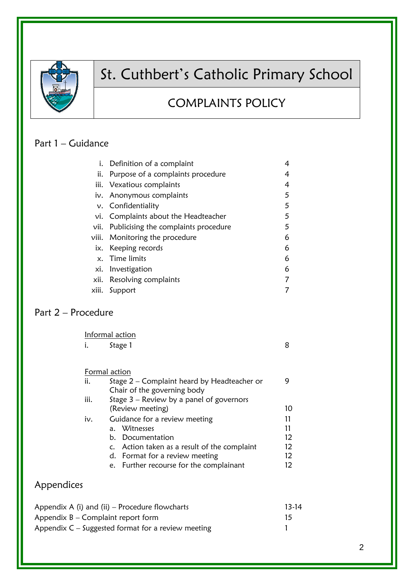

## St. Cuthbert's Catholic Primary School

## COMPLAINTS POLICY

#### Part 1 – Guidance

|       | i. Definition of a complaint         | 4 |
|-------|--------------------------------------|---|
| ii.   | Purpose of a complaints procedure    | 4 |
|       | iii. Vexatious complaints            | 4 |
|       | iv. Anonymous complaints             | 5 |
|       | v. Confidentiality                   | 5 |
|       | vi. Complaints about the Headteacher | 5 |
| vii.  | Publicising the complaints procedure | 5 |
|       | viii. Monitoring the procedure       | 6 |
|       | ix. Keeping records                  | 6 |
|       | x. Time limits                       | 6 |
|       | xi. Investigation                    | 6 |
| xii.  | Resolving complaints                 |   |
| xiii. | Support                              |   |
|       |                                      |   |

## Part 2 – Procedure

Informal action i. Stage 1 8

#### Formal action

| ii.  | Stage $2$ – Complaint heard by Headteacher or |    |
|------|-----------------------------------------------|----|
|      | Chair of the governing body                   |    |
| iii. | Stage $3$ – Review by a panel of governors    |    |
|      | (Review meeting)                              | 10 |
| iv.  | Guidance for a review meeting                 | 11 |
|      | a. Witnesses                                  | 11 |
|      | b. Documentation                              | 12 |
|      | c. Action taken as a result of the complaint  | 12 |
|      | d. Format for a review meeting                | 12 |
|      | e. Further recourse for the complainant       |    |

## Appendices

| Appendix A (i) and (ii) $-$ Procedure flowcharts     | 13-14 |
|------------------------------------------------------|-------|
| Appendix $B -$ Complaint report form                 |       |
| Appendix $C -$ Suggested format for a review meeting |       |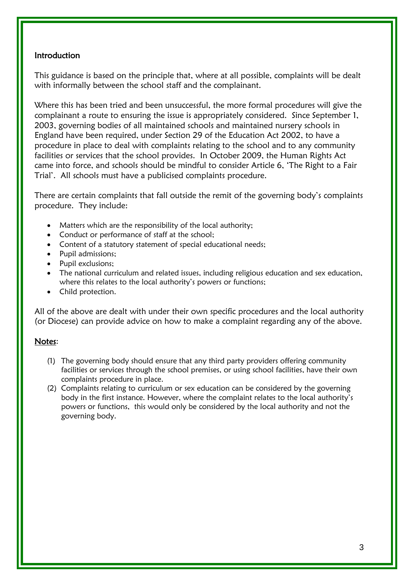#### **Introduction**

This guidance is based on the principle that, where at all possible, complaints will be dealt with informally between the school staff and the complainant.

Where this has been tried and been unsuccessful, the more formal procedures will give the complainant a route to ensuring the issue is appropriately considered. Since September 1, 2003, governing bodies of all maintained schools and maintained nursery schools in England have been required, under Section 29 of the Education Act 2002, to have a procedure in place to deal with complaints relating to the school and to any community facilities or services that the school provides. In October 2009, the Human Rights Act came into force, and schools should be mindful to consider Article 6, 'The Right to a Fair Trial'. All schools must have a publicised complaints procedure.

There are certain complaints that fall outside the remit of the governing body's complaints procedure. They include:

- Matters which are the responsibility of the local authority;
- Conduct or performance of staff at the school;
- Content of a statutory statement of special educational needs;
- Pupil admissions;
- Pupil exclusions:
- The national curriculum and related issues, including religious education and sex education, where this relates to the local authority's powers or functions;
- Child protection.

All of the above are dealt with under their own specific procedures and the local authority (or Diocese) can provide advice on how to make a complaint regarding any of the above.

#### Notes:

- (1) The governing body should ensure that any third party providers offering community facilities or services through the school premises, or using school facilities, have their own complaints procedure in place.
- (2) Complaints relating to curriculum or sex education can be considered by the governing body in the first instance. However, where the complaint relates to the local authority's powers or functions, this would only be considered by the local authority and not the governing body.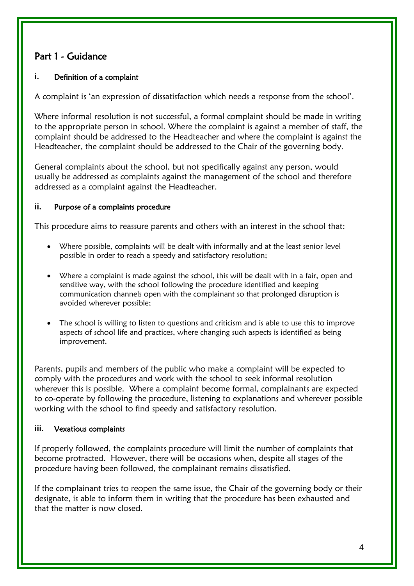## Part 1 - Guidance

#### **i.** Definition of a complaint

A complaint is 'an expression of dissatisfaction which needs a response from the school'.

Where informal resolution is not successful, a formal complaint should be made in writing to the appropriate person in school. Where the complaint is against a member of staff, the complaint should be addressed to the Headteacher and where the complaint is against the Headteacher, the complaint should be addressed to the Chair of the governing body.

General complaints about the school, but not specifically against any person, would usually be addressed as complaints against the management of the school and therefore addressed as a complaint against the Headteacher.

#### **ii.** Purpose of a complaints procedure

This procedure aims to reassure parents and others with an interest in the school that:

- Where possible, complaints will be dealt with informally and at the least senior level possible in order to reach a speedy and satisfactory resolution;
- Where a complaint is made against the school, this will be dealt with in a fair, open and sensitive way, with the school following the procedure identified and keeping communication channels open with the complainant so that prolonged disruption is avoided wherever possible;
- The school is willing to listen to questions and criticism and is able to use this to improve aspects of school life and practices, where changing such aspects is identified as being improvement.

Parents, pupils and members of the public who make a complaint will be expected to comply with the procedures and work with the school to seek informal resolution wherever this is possible. Where a complaint become formal, complainants are expected to co-operate by following the procedure, listening to explanations and wherever possible working with the school to find speedy and satisfactory resolution.

#### **iii.** Vexatious complaints

If properly followed, the complaints procedure will limit the number of complaints that become protracted. However, there will be occasions when, despite all stages of the procedure having been followed, the complainant remains dissatisfied.

If the complainant tries to reopen the same issue, the Chair of the governing body or their designate, is able to inform them in writing that the procedure has been exhausted and that the matter is now closed.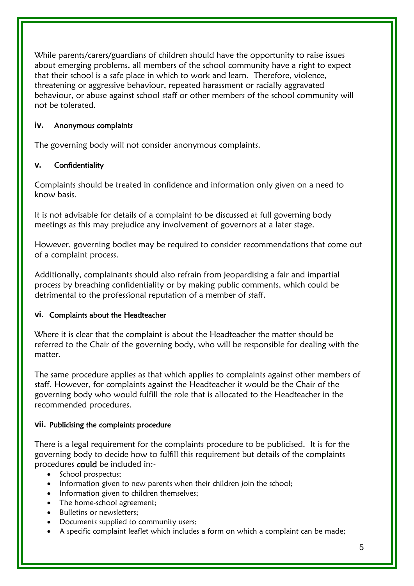While parents/carers/guardians of children should have the opportunity to raise issues about emerging problems, all members of the school community have a right to expect that their school is a safe place in which to work and learn. Therefore, violence, threatening or aggressive behaviour, repeated harassment or racially aggravated behaviour, or abuse against school staff or other members of the school community will not be tolerated.

#### **iv.** Anonymous complaints

The governing body will not consider anonymous complaints.

#### **v.** Confidentiality

Complaints should be treated in confidence and information only given on a need to know basis.

It is not advisable for details of a complaint to be discussed at full governing body meetings as this may prejudice any involvement of governors at a later stage.

However, governing bodies may be required to consider recommendations that come out of a complaint process.

Additionally, complainants should also refrain from jeopardising a fair and impartial process by breaching confidentiality or by making public comments, which could be detrimental to the professional reputation of a member of staff.

#### **vi.** Complaints about the Headteacher

Where it is clear that the complaint is about the Headteacher the matter should be referred to the Chair of the governing body, who will be responsible for dealing with the matter.

The same procedure applies as that which applies to complaints against other members of staff. However, for complaints against the Headteacher it would be the Chair of the governing body who would fulfill the role that is allocated to the Headteacher in the recommended procedures.

#### **vii.** Publicising the complaints procedure

There is a legal requirement for the complaints procedure to be publicised. It is for the governing body to decide how to fulfill this requirement but details of the complaints procedures could be included in:-

- School prospectus;
- Information given to new parents when their children join the school;
- Information given to children themselves;
- The home-school agreement;
- Bulletins or newsletters;
- Documents supplied to community users;
- A specific complaint leaflet which includes a form on which a complaint can be made;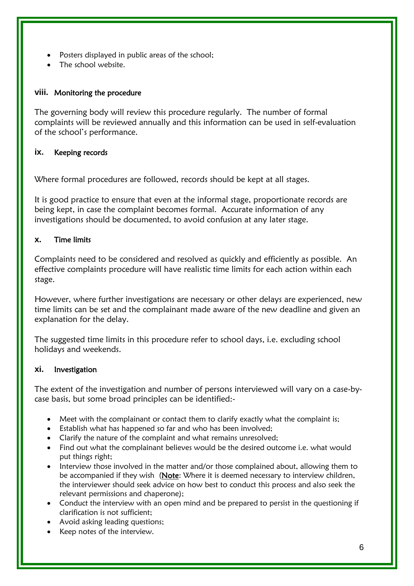- Posters displayed in public areas of the school;
- The school website.

#### **viii.** Monitoring the procedure

The governing body will review this procedure regularly. The number of formal complaints will be reviewed annually and this information can be used in self-evaluation of the school's performance.

#### **ix.** Keeping records

Where formal procedures are followed, records should be kept at all stages.

It is good practice to ensure that even at the informal stage, proportionate records are being kept, in case the complaint becomes formal. Accurate information of any investigations should be documented, to avoid confusion at any later stage.

#### **x.** Time limits

Complaints need to be considered and resolved as quickly and efficiently as possible. An effective complaints procedure will have realistic time limits for each action within each stage.

However, where further investigations are necessary or other delays are experienced, new time limits can be set and the complainant made aware of the new deadline and given an explanation for the delay.

The suggested time limits in this procedure refer to school days, i.e. excluding school holidays and weekends.

#### **xi.** Investigation

The extent of the investigation and number of persons interviewed will vary on a case-bycase basis, but some broad principles can be identified:-

- Meet with the complainant or contact them to clarify exactly what the complaint is;
- Establish what has happened so far and who has been involved;
- Clarify the nature of the complaint and what remains unresolved;
- Find out what the complainant believes would be the desired outcome i.e. what would put things right;
- Interview those involved in the matter and/or those complained about, allowing them to be accompanied if they wish (Note: Where it is deemed necessary to interview children, the interviewer should seek advice on how best to conduct this process and also seek the relevant permissions and chaperone);
- Conduct the interview with an open mind and be prepared to persist in the questioning if clarification is not sufficient;
- Avoid asking leading questions;
- Keep notes of the interview.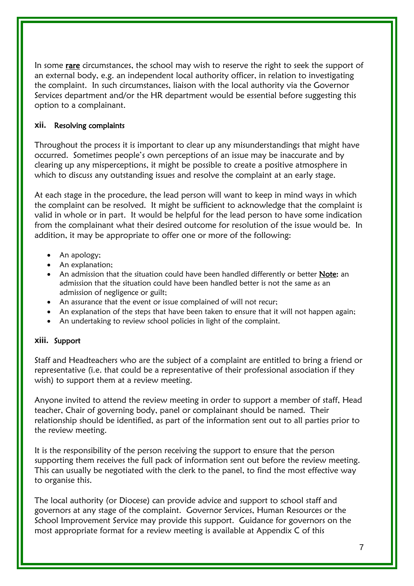In some rare circumstances, the school may wish to reserve the right to seek the support of an external body, e.g. an independent local authority officer, in relation to investigating the complaint. In such circumstances, liaison with the local authority via the Governor Services department and/or the HR department would be essential before suggesting this option to a complainant.

#### **xii.** Resolving complaints

Throughout the process it is important to clear up any misunderstandings that might have occurred. Sometimes people's own perceptions of an issue may be inaccurate and by clearing up any misperceptions, it might be possible to create a positive atmosphere in which to discuss any outstanding issues and resolve the complaint at an early stage.

At each stage in the procedure, the lead person will want to keep in mind ways in which the complaint can be resolved. It might be sufficient to acknowledge that the complaint is valid in whole or in part. It would be helpful for the lead person to have some indication from the complainant what their desired outcome for resolution of the issue would be. In addition, it may be appropriate to offer one or more of the following:

- An apology;
- An explanation;
- An admission that the situation could have been handled differently or better Note: an admission that the situation could have been handled better is not the same as an admission of negligence or guilt;
- An assurance that the event or issue complained of will not recur;
- An explanation of the steps that have been taken to ensure that it will not happen again;
- An undertaking to review school policies in light of the complaint.

#### **xiii.** Support

Staff and Headteachers who are the subject of a complaint are entitled to bring a friend or representative (i.e. that could be a representative of their professional association if they wish) to support them at a review meeting.

Anyone invited to attend the review meeting in order to support a member of staff, Head teacher, Chair of governing body, panel or complainant should be named. Their relationship should be identified, as part of the information sent out to all parties prior to the review meeting.

It is the responsibility of the person receiving the support to ensure that the person supporting them receives the full pack of information sent out before the review meeting. This can usually be negotiated with the clerk to the panel, to find the most effective way to organise this.

The local authority (or Diocese) can provide advice and support to school staff and governors at any stage of the complaint. Governor Services, Human Resources or the School Improvement Service may provide this support. Guidance for governors on the most appropriate format for a review meeting is available at Appendix C of this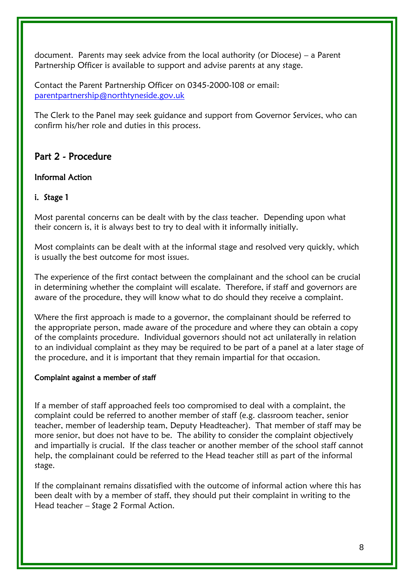document. Parents may seek advice from the local authority (or Diocese) – a Parent Partnership Officer is available to support and advise parents at any stage.

Contact the Parent Partnership Officer on 0345-2000-108 or email: [parentpartnership@northtyneside.gov.uk](mailto:parentpartnership@northtyneside.gov.uk)

The Clerk to the Panel may seek guidance and support from Governor Services, who can confirm his/her role and duties in this process.

## Part 2 - Procedure

#### Informal Action

#### i. Stage 1

Most parental concerns can be dealt with by the class teacher. Depending upon what their concern is, it is always best to try to deal with it informally initially.

Most complaints can be dealt with at the informal stage and resolved very quickly, which is usually the best outcome for most issues.

The experience of the first contact between the complainant and the school can be crucial in determining whether the complaint will escalate. Therefore, if staff and governors are aware of the procedure, they will know what to do should they receive a complaint.

Where the first approach is made to a governor, the complainant should be referred to the appropriate person, made aware of the procedure and where they can obtain a copy of the complaints procedure. Individual governors should not act unilaterally in relation to an individual complaint as they may be required to be part of a panel at a later stage of the procedure, and it is important that they remain impartial for that occasion.

#### Complaint against a member of staff

If a member of staff approached feels too compromised to deal with a complaint, the complaint could be referred to another member of staff (e.g. classroom teacher, senior teacher, member of leadership team, Deputy Headteacher). That member of staff may be more senior, but does not have to be. The ability to consider the complaint objectively and impartially is crucial. If the class teacher or another member of the school staff cannot help, the complainant could be referred to the Head teacher still as part of the informal stage.

If the complainant remains dissatisfied with the outcome of informal action where this has been dealt with by a member of staff, they should put their complaint in writing to the Head teacher – Stage 2 Formal Action.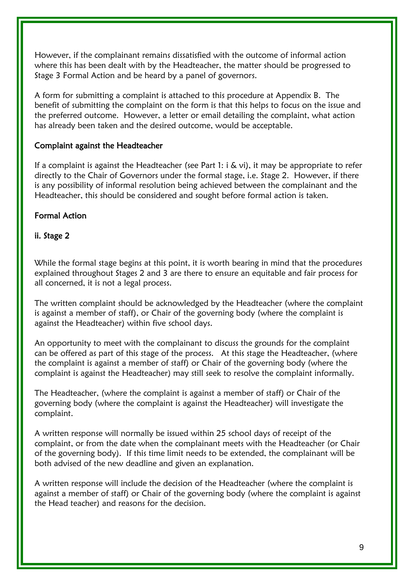However, if the complainant remains dissatisfied with the outcome of informal action where this has been dealt with by the Headteacher, the matter should be progressed to Stage 3 Formal Action and be heard by a panel of governors.

A form for submitting a complaint is attached to this procedure at Appendix B. The benefit of submitting the complaint on the form is that this helps to focus on the issue and the preferred outcome. However, a letter or email detailing the complaint, what action has already been taken and the desired outcome, would be acceptable.

#### Complaint against the Headteacher

If a complaint is against the Headteacher (see Part 1:  $i \& vi$ ), it may be appropriate to refer directly to the Chair of Governors under the formal stage, i.e. Stage 2. However, if there is any possibility of informal resolution being achieved between the complainant and the Headteacher, this should be considered and sought before formal action is taken.

#### Formal Action

#### ii. Stage 2

While the formal stage begins at this point, it is worth bearing in mind that the procedures explained throughout Stages 2 and 3 are there to ensure an equitable and fair process for all concerned, it is not a legal process.

The written complaint should be acknowledged by the Headteacher (where the complaint is against a member of staff), or Chair of the governing body (where the complaint is against the Headteacher) within five school days.

An opportunity to meet with the complainant to discuss the grounds for the complaint can be offered as part of this stage of the process. At this stage the Headteacher, (where the complaint is against a member of staff) or Chair of the governing body (where the complaint is against the Headteacher) may still seek to resolve the complaint informally.

The Headteacher, (where the complaint is against a member of staff) or Chair of the governing body (where the complaint is against the Headteacher) will investigate the complaint.

A written response will normally be issued within 25 school days of receipt of the complaint, or from the date when the complainant meets with the Headteacher (or Chair of the governing body). If this time limit needs to be extended, the complainant will be both advised of the new deadline and given an explanation.

A written response will include the decision of the Headteacher (where the complaint is against a member of staff) or Chair of the governing body (where the complaint is against the Head teacher) and reasons for the decision.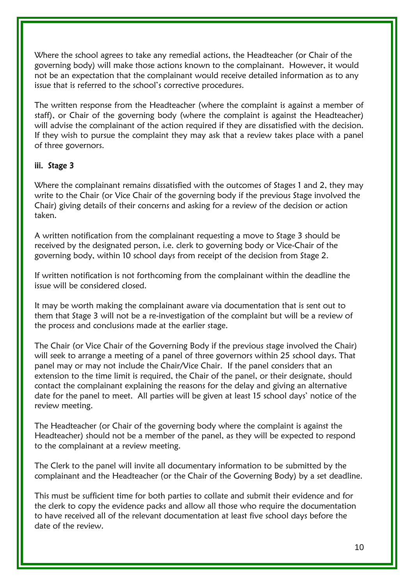Where the school agrees to take any remedial actions, the Headteacher (or Chair of the governing body) will make those actions known to the complainant. However, it would not be an expectation that the complainant would receive detailed information as to any issue that is referred to the school's corrective procedures.

The written response from the Headteacher (where the complaint is against a member of staff), or Chair of the governing body (where the complaint is against the Headteacher) will advise the complainant of the action required if they are dissatisfied with the decision. If they wish to pursue the complaint they may ask that a review takes place with a panel of three governors.

#### iii. Stage 3

Where the complainant remains dissatisfied with the outcomes of Stages 1 and 2, they may write to the Chair (or Vice Chair of the governing body if the previous Stage involved the Chair) giving details of their concerns and asking for a review of the decision or action taken.

A written notification from the complainant requesting a move to Stage 3 should be received by the designated person, i.e. clerk to governing body or Vice-Chair of the governing body, within 10 school days from receipt of the decision from Stage 2.

If written notification is not forthcoming from the complainant within the deadline the issue will be considered closed.

It may be worth making the complainant aware via documentation that is sent out to them that Stage 3 will not be a re-investigation of the complaint but will be a review of the process and conclusions made at the earlier stage.

The Chair (or Vice Chair of the Governing Body if the previous stage involved the Chair) will seek to arrange a meeting of a panel of three governors within 25 school days. That panel may or may not include the Chair/Vice Chair. If the panel considers that an extension to the time limit is required, the Chair of the panel, or their designate, should contact the complainant explaining the reasons for the delay and giving an alternative date for the panel to meet. All parties will be given at least 15 school days' notice of the review meeting.

The Headteacher (or Chair of the governing body where the complaint is against the Headteacher) should not be a member of the panel, as they will be expected to respond to the complainant at a review meeting.

The Clerk to the panel will invite all documentary information to be submitted by the complainant and the Headteacher (or the Chair of the Governing Body) by a set deadline.

This must be sufficient time for both parties to collate and submit their evidence and for the clerk to copy the evidence packs and allow all those who require the documentation to have received all of the relevant documentation at least five school days before the date of the review.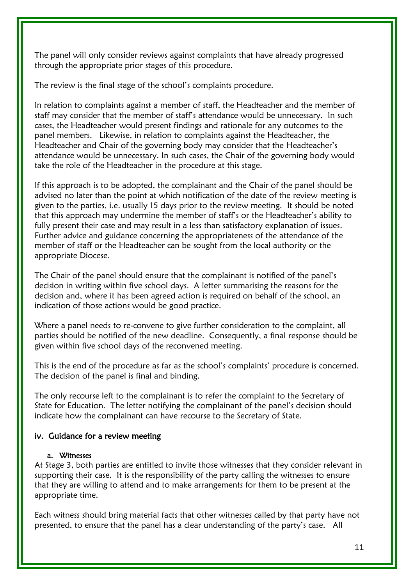The panel will only consider reviews against complaints that have already progressed through the appropriate prior stages of this procedure.

The review is the final stage of the school's complaints procedure.

In relation to complaints against a member of staff, the Headteacher and the member of staff may consider that the member of staff's attendance would be unnecessary. In such cases, the Headteacher would present findings and rationale for any outcomes to the panel members. Likewise, in relation to complaints against the Headteacher, the Headteacher and Chair of the governing body may consider that the Headteacher's attendance would be unnecessary. In such cases, the Chair of the governing body would take the role of the Headteacher in the procedure at this stage.

If this approach is to be adopted, the complainant and the Chair of the panel should be advised no later than the point at which notification of the date of the review meeting is given to the parties, i.e. usually 15 days prior to the review meeting. It should be noted that this approach may undermine the member of staff's or the Headteacher's ability to fully present their case and may result in a less than satisfactory explanation of issues. Further advice and guidance concerning the appropriateness of the attendance of the member of staff or the Headteacher can be sought from the local authority or the appropriate Diocese.

The Chair of the panel should ensure that the complainant is notified of the panel's decision in writing within five school days. A letter summarising the reasons for the decision and, where it has been agreed action is required on behalf of the school, an indication of those actions would be good practice.

Where a panel needs to re-convene to give further consideration to the complaint, all parties should be notified of the new deadline. Consequently, a final response should be given within five school days of the reconvened meeting.

This is the end of the procedure as far as the school's complaints' procedure is concerned. The decision of the panel is final and binding.

The only recourse left to the complainant is to refer the complaint to the Secretary of State for Education. The letter notifying the complainant of the panel's decision should indicate how the complainant can have recourse to the Secretary of State.

#### iv. Guidance for a review meeting

#### a. Witnesses

At Stage 3, both parties are entitled to invite those witnesses that they consider relevant in supporting their case. It is the responsibility of the party calling the witnesses to ensure that they are willing to attend and to make arrangements for them to be present at the appropriate time.

Each witness should bring material facts that other witnesses called by that party have not presented, to ensure that the panel has a clear understanding of the party's case. All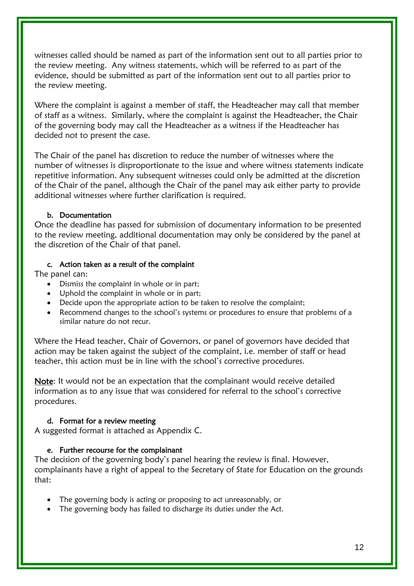witnesses called should be named as part of the information sent out to all parties prior to the review meeting. Any witness statements, which will be referred to as part of the evidence, should be submitted as part of the information sent out to all parties prior to the review meeting.

Where the complaint is against a member of staff, the Headteacher may call that member of staff as a witness. Similarly, where the complaint is against the Headteacher, the Chair of the governing body may call the Headteacher as a witness if the Headteacher has decided not to present the case.

The Chair of the panel has discretion to reduce the number of witnesses where the number of witnesses is disproportionate to the issue and where witness statements indicate repetitive information. Any subsequent witnesses could only be admitted at the discretion of the Chair of the panel, although the Chair of the panel may ask either party to provide additional witnesses where further clarification is required.

#### b. Documentation

Once the deadline has passed for submission of documentary information to be presented to the review meeting, additional documentation may only be considered by the panel at the discretion of the Chair of that panel.

#### c. Action taken as a result of the complaint

The panel can:

- Dismiss the complaint in whole or in part;
- Uphold the complaint in whole or in part;
- Decide upon the appropriate action to be taken to resolve the complaint;
- Recommend changes to the school's systems or procedures to ensure that problems of a similar nature do not recur.

Where the Head teacher, Chair of Governors, or panel of governors have decided that action may be taken against the subject of the complaint, i.e. member of staff or head teacher, this action must be in line with the school's corrective procedures.

Note: It would not be an expectation that the complainant would receive detailed information as to any issue that was considered for referral to the school's corrective procedures.

#### d. Format for a review meeting

A suggested format is attached as Appendix C.

#### e. Further recourse for the complainant

The decision of the governing body's panel hearing the review is final. However, complainants have a right of appeal to the Secretary of State for Education on the grounds that:

- The governing body is acting or proposing to act unreasonably, or
- The governing body has failed to discharge its duties under the Act.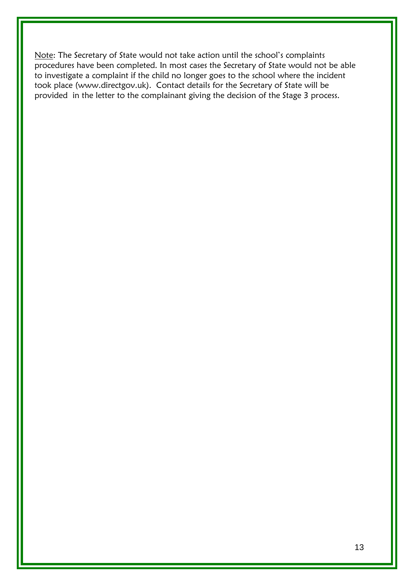Note: The Secretary of State would not take action until the school's complaints procedures have been completed. In most cases the Secretary of State would not be able to investigate a complaint if the child no longer goes to the school where the incident took place (www.directgov.uk). Contact details for the Secretary of State will be provided in the letter to the complainant giving the decision of the Stage 3 process.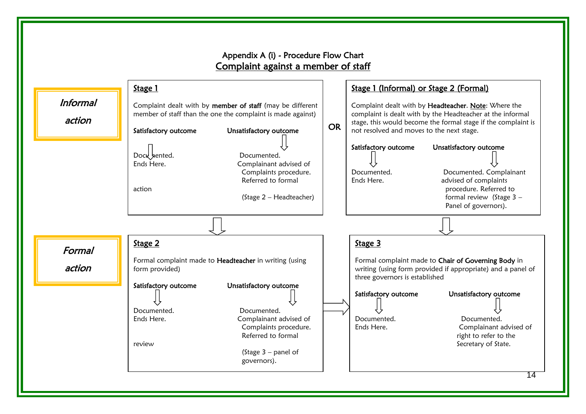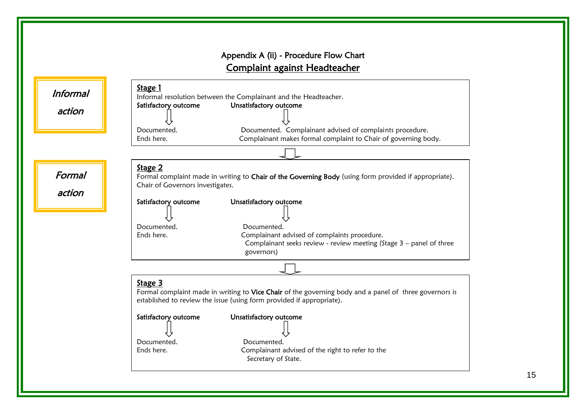## Appendix A (ii) - Procedure Flow Chart Complaint against Headteacher

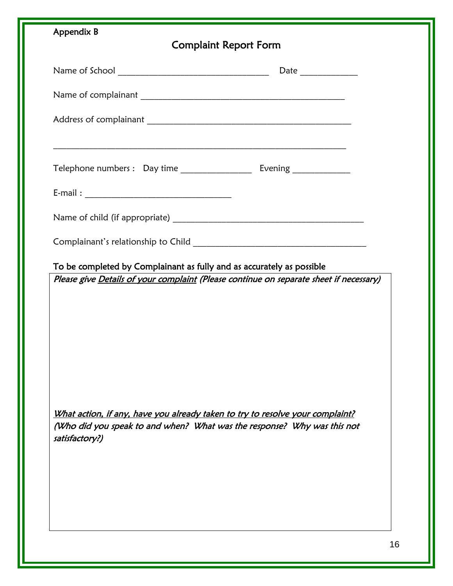| Appendix B<br><b>Complaint Report Form</b>                                       |  |
|----------------------------------------------------------------------------------|--|
|                                                                                  |  |
|                                                                                  |  |
|                                                                                  |  |
| ,我们也不能在这里的时候,我们也不能在这里的时候,我们也不能会在这里的时候,我们也不能会在这里的时候,我们也不能会在这里的时候,我们也不能会在这里的时候,我们也 |  |
|                                                                                  |  |
|                                                                                  |  |
|                                                                                  |  |
|                                                                                  |  |
|                                                                                  |  |
| What action, if any, have you already taken to try to resolve your complaint?    |  |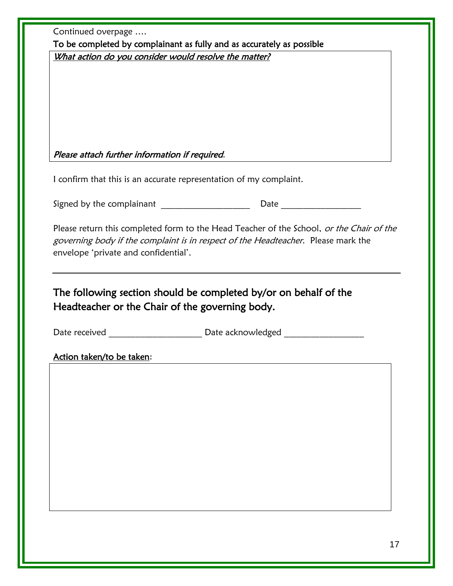|                                                | To be completed by complainant as fully and as accurately as possible                                                                                                                                    |
|------------------------------------------------|----------------------------------------------------------------------------------------------------------------------------------------------------------------------------------------------------------|
|                                                | What action do you consider would resolve the matter?                                                                                                                                                    |
| Please attach further information if required. |                                                                                                                                                                                                          |
|                                                | I confirm that this is an accurate representation of my complaint.                                                                                                                                       |
|                                                |                                                                                                                                                                                                          |
| envelope 'private and confidential'.           | governing body if the complaint is in respect of the Headteacher. Please mark the<br>The following section should be completed by/or on behalf of the<br>Headteacher or the Chair of the governing body. |
| Date received                                  | <b>Example 2018 Date acknowledged CONSUMPLE 2019 12:00 PM 2019</b>                                                                                                                                       |
|                                                |                                                                                                                                                                                                          |
| Action taken/to be taken:                      |                                                                                                                                                                                                          |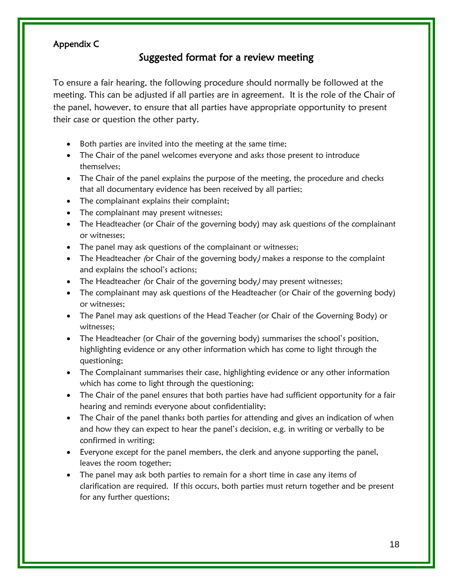#### Appendix C

## Suggested format for a review meeting

To ensure a fair hearing, the following procedure should normally be followed at the meeting. This can be adjusted if all parties are in agreement. It is the role of the Chair of the panel, however, to ensure that all parties have appropriate opportunity to present their case or question the other party.

- Both parties are invited into the meeting at the same time;
- The Chair of the panel welcomes everyone and asks those present to introduce themselves;
- The Chair of the panel explains the purpose of the meeting, the procedure and checks that all documentary evidence has been received by all parties;
- The complainant explains their complaint;
- The complainant may present witnesses;
- The Headteacher (or Chair of the governing body) may ask questions of the complainant or witnesses;
- The panel may ask questions of the complainant or witnesses;
- The Headteacher (or Chair of the governing body) makes a response to the complaint and explains the school's actions;
- The Headteacher (or Chair of the governing body) may present witnesses;
- The complainant may ask questions of the Headteacher (or Chair of the governing body) or witnesses;
- The Panel may ask questions of the Head Teacher (or Chair of the Governing Body) or witnesses;
- The Headteacher (or Chair of the governing body) summarises the school's position, highlighting evidence or any other information which has come to light through the questioning;
- The Complainant summarises their case, highlighting evidence or any other information which has come to light through the questioning;
- The Chair of the panel ensures that both parties have had sufficient opportunity for a fair hearing and reminds everyone about confidentiality;
- The Chair of the panel thanks both parties for attending and gives an indication of when and how they can expect to hear the panel's decision, e.g. in writing or verbally to be confirmed in writing;
- Everyone except for the panel members, the clerk and anyone supporting the panel, leaves the room together;
- The panel may ask both parties to remain for a short time in case any items of clarification are required. If this occurs, both parties must return together and be present for any further questions;